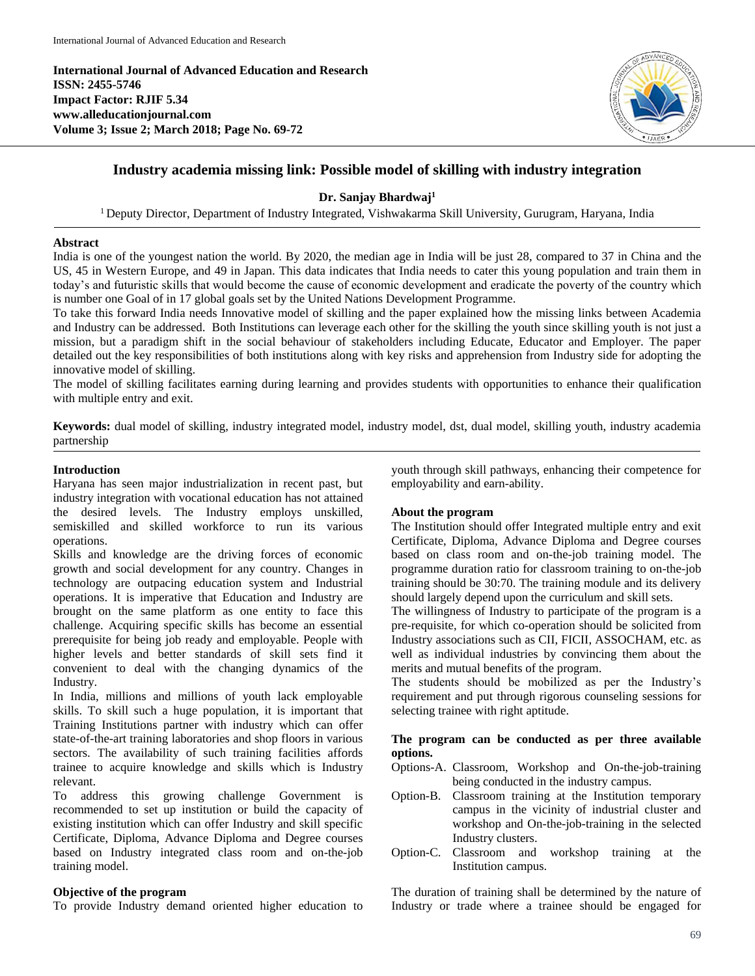**International Journal of Advanced Education and Research ISSN: 2455-5746 Impact Factor: RJIF 5.34 www.alleducationjournal.com Volume 3; Issue 2; March 2018; Page No. 69-72**



# **Industry academia missing link: Possible model of skilling with industry integration**

**Dr. Sanjay Bhardwaj<sup>1</sup>**

<sup>1</sup> Deputy Director, Department of Industry Integrated, Vishwakarma Skill University, Gurugram, Haryana, India

#### **Abstract**

India is one of the youngest nation the world. By 2020, the median age in India will be just 28, compared to 37 in China and the US, 45 in Western Europe, and 49 in Japan. This data indicates that India needs to cater this young population and train them in today's and futuristic skills that would become the cause of economic development and eradicate the poverty of the country which is number one Goal of in 17 global goals set by the United Nations Development Programme.

To take this forward India needs Innovative model of skilling and the paper explained how the missing links between Academia and Industry can be addressed. Both Institutions can leverage each other for the skilling the youth since skilling youth is not just a mission, but a paradigm shift in the social behaviour of stakeholders including Educate, Educator and Employer. The paper detailed out the key responsibilities of both institutions along with key risks and apprehension from Industry side for adopting the innovative model of skilling.

The model of skilling facilitates earning during learning and provides students with opportunities to enhance their qualification with multiple entry and exit.

**Keywords:** dual model of skilling, industry integrated model, industry model, dst, dual model, skilling youth, industry academia partnership

### **Introduction**

Haryana has seen major industrialization in recent past, but industry integration with vocational education has not attained the desired levels. The Industry employs unskilled, semiskilled and skilled workforce to run its various operations.

Skills and knowledge are the driving forces of economic growth and social development for any country. Changes in technology are outpacing education system and Industrial operations. It is imperative that Education and Industry are brought on the same platform as one entity to face this challenge. Acquiring specific skills has become an essential prerequisite for being job ready and employable. People with higher levels and better standards of skill sets find it convenient to deal with the changing dynamics of the Industry.

In India, millions and millions of youth lack employable skills. To skill such a huge population, it is important that Training Institutions partner with industry which can offer state-of-the-art training laboratories and shop floors in various sectors. The availability of such training facilities affords trainee to acquire knowledge and skills which is Industry relevant.

To address this growing challenge Government is recommended to set up institution or build the capacity of existing institution which can offer Industry and skill specific Certificate, Diploma, Advance Diploma and Degree courses based on Industry integrated class room and on-the-job training model.

# **Objective of the program**

To provide Industry demand oriented higher education to

youth through skill pathways, enhancing their competence for employability and earn-ability.

### **About the program**

The Institution should offer Integrated multiple entry and exit Certificate, Diploma, Advance Diploma and Degree courses based on class room and on-the-job training model. The programme duration ratio for classroom training to on-the-job training should be 30:70. The training module and its delivery should largely depend upon the curriculum and skill sets.

The willingness of Industry to participate of the program is a pre-requisite, for which co-operation should be solicited from Industry associations such as CII, FICII, ASSOCHAM, etc. as well as individual industries by convincing them about the merits and mutual benefits of the program.

The students should be mobilized as per the Industry's requirement and put through rigorous counseling sessions for selecting trainee with right aptitude.

## **The program can be conducted as per three available options.**

- Options-A. Classroom, Workshop and On-the-job-training being conducted in the industry campus.
- Option-B. Classroom training at the Institution temporary campus in the vicinity of industrial cluster and workshop and On-the-job-training in the selected Industry clusters.
- Option-C. Classroom and workshop training at the Institution campus.

The duration of training shall be determined by the nature of Industry or trade where a trainee should be engaged for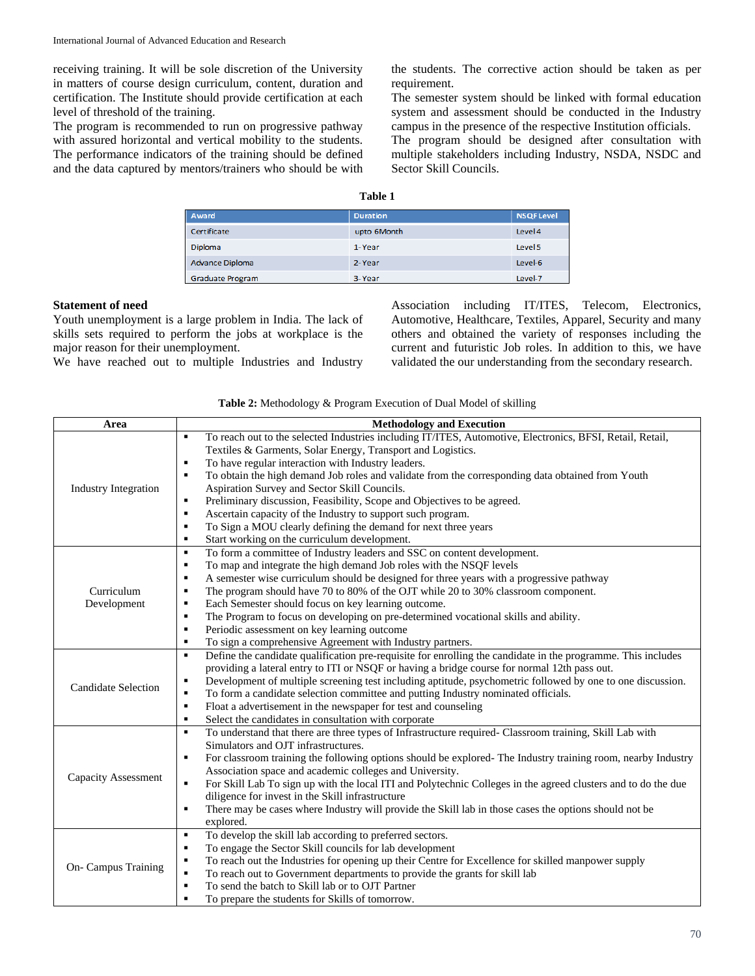receiving training. It will be sole discretion of the University in matters of course design curriculum, content, duration and certification. The Institute should provide certification at each level of threshold of the training.

The program is recommended to run on progressive pathway with assured horizontal and vertical mobility to the students. The performance indicators of the training should be defined and the data captured by mentors/trainers who should be with

the students. The corrective action should be taken as per requirement.

The semester system should be linked with formal education system and assessment should be conducted in the Industry campus in the presence of the respective Institution officials.

The program should be designed after consultation with multiple stakeholders including Industry, NSDA, NSDC and Sector Skill Councils.

# **Table 1**

| Award                   | <b>Duration</b> | <b>NSQFLevel</b> |
|-------------------------|-----------------|------------------|
| Certificate             | upto 6Month     | Level 4          |
| Diploma                 | 1-Year          | Level 5          |
| Advance Diploma         | 2-Year          | Level-6          |
| <b>Graduate Program</b> | 3-Year          | Level-7          |

### **Statement of need**

Youth unemployment is a large problem in India. The lack of skills sets required to perform the jobs at workplace is the major reason for their unemployment.

We have reached out to multiple Industries and Industry

Association including IT/ITES, Telecom, Electronics, Automotive, Healthcare, Textiles, Apparel, Security and many others and obtained the variety of responses including the current and futuristic Job roles. In addition to this, we have validated the our understanding from the secondary research.

| Table 2: Methodology & Program Execution of Dual Model of skilling |  |  |  |  |
|--------------------------------------------------------------------|--|--|--|--|
|--------------------------------------------------------------------|--|--|--|--|

| Area                        | <b>Methodology and Execution</b>                                                                                                |  |
|-----------------------------|---------------------------------------------------------------------------------------------------------------------------------|--|
|                             | To reach out to the selected Industries including IT/ITES, Automotive, Electronics, BFSI, Retail, Retail,<br>$\blacksquare$     |  |
|                             | Textiles & Garments, Solar Energy, Transport and Logistics.                                                                     |  |
|                             | To have regular interaction with Industry leaders.<br>$\blacksquare$                                                            |  |
|                             | To obtain the high demand Job roles and validate from the corresponding data obtained from Youth<br>$\blacksquare$              |  |
| <b>Industry Integration</b> | Aspiration Survey and Sector Skill Councils.                                                                                    |  |
|                             | Preliminary discussion, Feasibility, Scope and Objectives to be agreed.<br>$\blacksquare$                                       |  |
|                             | Ascertain capacity of the Industry to support such program.<br>٠                                                                |  |
|                             | To Sign a MOU clearly defining the demand for next three years<br>$\blacksquare$                                                |  |
|                             | Start working on the curriculum development.<br>٠                                                                               |  |
|                             | To form a committee of Industry leaders and SSC on content development.<br>$\blacksquare$                                       |  |
|                             | To map and integrate the high demand Job roles with the NSQF levels<br>٠                                                        |  |
|                             | A semester wise curriculum should be designed for three years with a progressive pathway<br>$\blacksquare$                      |  |
| Curriculum                  | The program should have 70 to 80% of the OJT while 20 to 30% classroom component.<br>$\blacksquare$                             |  |
| Development                 | $\blacksquare$<br>Each Semester should focus on key learning outcome.                                                           |  |
|                             | The Program to focus on developing on pre-determined vocational skills and ability.<br>$\blacksquare$                           |  |
|                             | Periodic assessment on key learning outcome<br>$\blacksquare$                                                                   |  |
|                             | To sign a comprehensive Agreement with Industry partners.<br>$\blacksquare$                                                     |  |
|                             | Define the candidate qualification pre-requisite for enrolling the candidate in the programme. This includes<br>$\blacksquare$  |  |
|                             | providing a lateral entry to ITI or NSQF or having a bridge course for normal 12th pass out.                                    |  |
| <b>Candidate Selection</b>  | Development of multiple screening test including aptitude, psychometric followed by one to one discussion.<br>٠                 |  |
|                             | To form a candidate selection committee and putting Industry nominated officials.<br>$\blacksquare$                             |  |
|                             | Float a advertisement in the newspaper for test and counseling<br>$\blacksquare$                                                |  |
|                             | Select the candidates in consultation with corporate<br>$\blacksquare$                                                          |  |
|                             | To understand that there are three types of Infrastructure required- Classroom training, Skill Lab with<br>$\blacksquare$       |  |
|                             | Simulators and OJT infrastructures.                                                                                             |  |
|                             | For classroom training the following options should be explored- The Industry training room, nearby Industry<br>٠               |  |
| <b>Capacity Assessment</b>  | Association space and academic colleges and University.                                                                         |  |
|                             | For Skill Lab To sign up with the local ITI and Polytechnic Colleges in the agreed clusters and to do the due<br>$\blacksquare$ |  |
|                             | diligence for invest in the Skill infrastructure                                                                                |  |
|                             | There may be cases where Industry will provide the Skill lab in those cases the options should not be<br>$\blacksquare$         |  |
|                             | explored.                                                                                                                       |  |
|                             | To develop the skill lab according to preferred sectors.<br>$\blacksquare$                                                      |  |
|                             | To engage the Sector Skill councils for lab development<br>٠                                                                    |  |
| On- Campus Training         | To reach out the Industries for opening up their Centre for Excellence for skilled manpower supply<br>٠                         |  |
|                             | To reach out to Government departments to provide the grants for skill lab<br>$\blacksquare$                                    |  |
|                             | To send the batch to Skill lab or to OJT Partner<br>$\blacksquare$                                                              |  |
|                             | To prepare the students for Skills of tomorrow.<br>$\blacksquare$                                                               |  |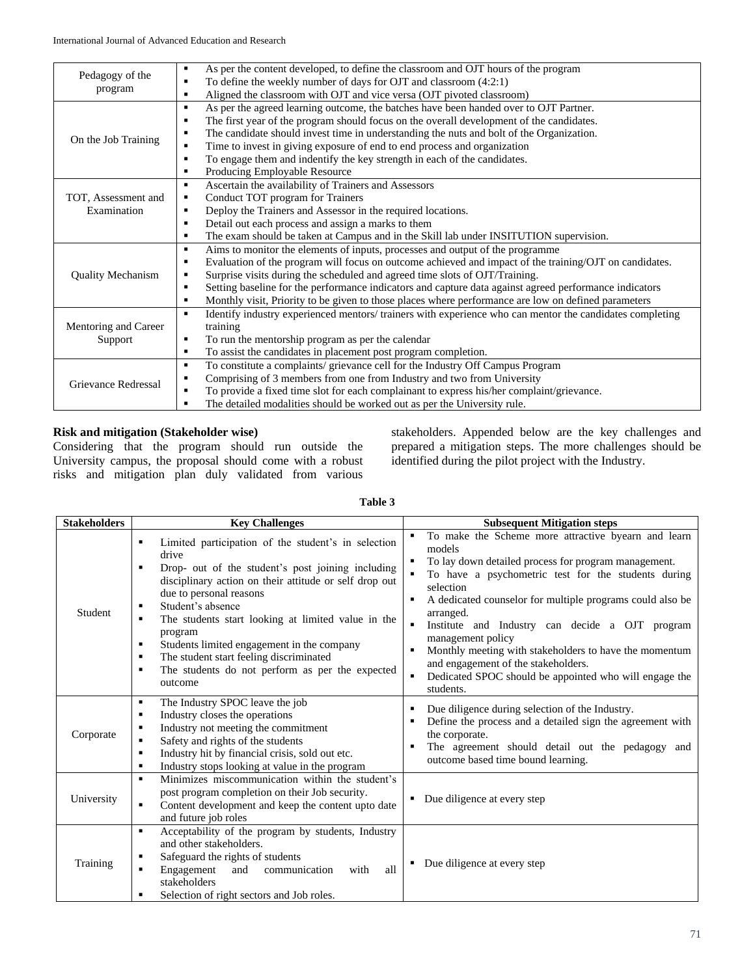| Pedagogy of the          | As per the content developed, to define the classroom and OJT hours of the program<br>٠                                    |  |
|--------------------------|----------------------------------------------------------------------------------------------------------------------------|--|
| program                  | To define the weekly number of days for OJT and classroom (4:2:1)<br>٠                                                     |  |
|                          | Aligned the classroom with OJT and vice versa (OJT pivoted classroom)<br>٠                                                 |  |
|                          | As per the agreed learning outcome, the batches have been handed over to OJT Partner.<br>$\blacksquare$                    |  |
|                          | The first year of the program should focus on the overall development of the candidates.<br>$\blacksquare$                 |  |
|                          | The candidate should invest time in understanding the nuts and bolt of the Organization.<br>$\blacksquare$                 |  |
| On the Job Training      | Time to invest in giving exposure of end to end process and organization<br>٠                                              |  |
|                          | To engage them and indentify the key strength in each of the candidates.<br>$\blacksquare$                                 |  |
|                          | Producing Employable Resource<br>٠                                                                                         |  |
|                          | Ascertain the availability of Trainers and Assessors<br>$\blacksquare$                                                     |  |
| TOT, Assessment and      | Conduct TOT program for Trainers<br>٠                                                                                      |  |
| Examination              | Deploy the Trainers and Assessor in the required locations.<br>$\blacksquare$                                              |  |
|                          | Detail out each process and assign a marks to them<br>$\blacksquare$                                                       |  |
|                          | The exam should be taken at Campus and in the Skill lab under INSITUTION supervision.<br>$\blacksquare$                    |  |
|                          | Aims to monitor the elements of inputs, processes and output of the programme<br>٠                                         |  |
|                          | Evaluation of the program will focus on outcome achieved and impact of the training/OJT on candidates.<br>٠                |  |
| <b>Quality Mechanism</b> | Surprise visits during the scheduled and agreed time slots of OJT/Training.<br>٠                                           |  |
|                          | Setting baseline for the performance indicators and capture data against agreed performance indicators<br>$\blacksquare$   |  |
|                          | Monthly visit, Priority to be given to those places where performance are low on defined parameters<br>٠                   |  |
|                          | Identify industry experienced mentors/ trainers with experience who can mentor the candidates completing<br>$\blacksquare$ |  |
| Mentoring and Career     | training                                                                                                                   |  |
| Support                  | To run the mentorship program as per the calendar<br>٠                                                                     |  |
|                          | To assist the candidates in placement post program completion.<br>٠                                                        |  |
|                          | To constitute a complaints/ grievance cell for the Industry Off Campus Program<br>$\blacksquare$                           |  |
|                          | Comprising of 3 members from one from Industry and two from University<br>$\blacksquare$                                   |  |
| Grievance Redressal      | To provide a fixed time slot for each complainant to express his/her complaint/grievance.<br>$\blacksquare$                |  |
|                          | The detailed modalities should be worked out as per the University rule.<br>п                                              |  |
|                          |                                                                                                                            |  |

## **Risk and mitigation (Stakeholder wise)**

Considering that the program should run outside the University campus, the proposal should come with a robust risks and mitigation plan duly validated from various

stakeholders. Appended below are the key challenges and prepared a mitigation steps. The more challenges should be identified during the pilot project with the Industry.

# **Table 3**

| <b>Stakeholders</b> | <b>Key Challenges</b>                                                                                                                                                                                                                                                                                                                                                                                                                                                                                            | <b>Subsequent Mitigation steps</b>                                                                                                                                                                                                                                                                                                                                                                                                                                                                                                                                |
|---------------------|------------------------------------------------------------------------------------------------------------------------------------------------------------------------------------------------------------------------------------------------------------------------------------------------------------------------------------------------------------------------------------------------------------------------------------------------------------------------------------------------------------------|-------------------------------------------------------------------------------------------------------------------------------------------------------------------------------------------------------------------------------------------------------------------------------------------------------------------------------------------------------------------------------------------------------------------------------------------------------------------------------------------------------------------------------------------------------------------|
| Student             | Limited participation of the student's in selection<br>٠<br>drive<br>Drop- out of the student's post joining including<br>$\blacksquare$<br>disciplinary action on their attitude or self drop out<br>due to personal reasons<br>Student's absence<br>٠<br>The students start looking at limited value in the<br>$\blacksquare$<br>program<br>Students limited engagement in the company<br>٠<br>The student start feeling discriminated<br>٠<br>The students do not perform as per the expected<br>٠<br>outcome | To make the Scheme more attractive byearn and learn<br>models<br>To lay down detailed process for program management.<br>To have a psychometric test for the students during<br>selection<br>A dedicated counselor for multiple programs could also be<br>$\blacksquare$<br>arranged.<br>Institute and Industry can decide a OJT program<br>$\blacksquare$<br>management policy<br>Monthly meeting with stakeholders to have the momentum<br>٠<br>and engagement of the stakeholders.<br>Dedicated SPOC should be appointed who will engage the<br>٠<br>students. |
| Corporate           | The Industry SPOC leave the job<br>$\blacksquare$<br>Industry closes the operations<br>٠<br>Industry not meeting the commitment<br>٠<br>Safety and rights of the students<br>$\blacksquare$<br>Industry hit by financial crisis, sold out etc.<br>$\blacksquare$<br>Industry stops looking at value in the program<br>٠                                                                                                                                                                                          | Due diligence during selection of the Industry.<br>٠<br>Define the process and a detailed sign the agreement with<br>п<br>the corporate.<br>The agreement should detail out the pedagogy and<br>٠<br>outcome based time bound learning.                                                                                                                                                                                                                                                                                                                           |
| University          | Minimizes miscommunication within the student's<br>$\blacksquare$<br>post program completion on their Job security.<br>Content development and keep the content upto date<br>٠<br>and future job roles                                                                                                                                                                                                                                                                                                           | Due diligence at every step<br>п                                                                                                                                                                                                                                                                                                                                                                                                                                                                                                                                  |
| Training            | Acceptability of the program by students, Industry<br>٠<br>and other stakeholders.<br>Safeguard the rights of students<br>٠<br>Engagement<br>communication<br>all<br>and<br>with<br>$\blacksquare$<br>stakeholders<br>Selection of right sectors and Job roles.<br>٠                                                                                                                                                                                                                                             | Due diligence at every step<br>٠                                                                                                                                                                                                                                                                                                                                                                                                                                                                                                                                  |